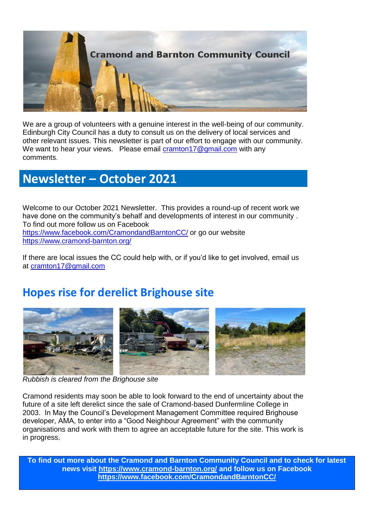

We are a group of volunteers with a genuine interest in the well-being of our community. Edinburgh City Council has a duty to consult us on the delivery of local services and other relevant issues. This newsletter is part of our effort to engage with our community. We want to hear your views. Please email [cramton17@gmail.com](mailto:cramton17@gmail.com) with any comments.

## **Newsletter – October 2021**

Welcome to our October 2021 Newsletter. This provides a round-up of recent work we have done on the community's behalf and developments of interest in our community . To find out more follow us on Facebook <https://www.facebook.com/CramondandBarntonCC/> or go our website <https://www.cramond-barnton.org/>

If there are local issues the CC could help with, or if you'd like to get involved, email us at [cramton17@gmail.com](mailto:cramton17@gmail.com) 

# **Hopes rise for derelict Brighouse site**



*Rubbish is cleared from the Brighouse site*

Cramond residents may soon be able to look forward to the end of uncertainty about the future of a site left derelict since the sale of Cramond-based Dunfermline College in 2003. In May the Council's Development Management Committee required Brighouse developer, AMA, to enter into a "Good Neighbour Agreement" with the community organisations and work with them to agree an acceptable future for the site. This work is in progress.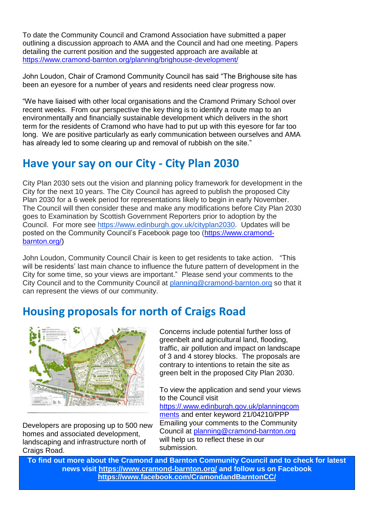To date the Community Council and Cramond Association have submitted a paper outlining a discussion approach to AMA and the Council and had one meeting. Papers detailing the current position and the suggested approach are available at <https://www.cramond-barnton.org/planning/brighouse-development/>

John Loudon, Chair of Cramond Community Council has said "The Brighouse site has been an eyesore for a number of years and residents need clear progress now.

"We have liaised with other local organisations and the Cramond Primary School over recent weeks. From our perspective the key thing is to identify a route map to an environmentally and financially sustainable development which delivers in the short term for the residents of Cramond who have had to put up with this eyesore for far too long. We are positive particularly as early communication between ourselves and AMA has already led to some clearing up and removal of rubbish on the site."

### **Have your say on our City - City Plan 2030**

City Plan 2030 sets out the vision and planning policy framework for development in the City for the next 10 years. The City Council has agreed to publish the proposed City Plan 2030 for a 6 week period for representations likely to begin in early November. The Council will then consider these and make any modifications before City Plan 2030 goes to Examination by Scottish Government Reporters prior to adoption by the Council. For more see [https://www.edinburgh.gov.uk/cityplan2030.](https://www.edinburgh.gov.uk/cityplan2030) Updates will be posted on the Community Council's Facebook page too [\(https://www.cramond](https://www.cramond-barnton.org/)[barnton.org/\)](https://www.cramond-barnton.org/)

John Loudon, Community Council Chair is keen to get residents to take action. "This will be residents' last main chance to influence the future pattern of development in the City for some time, so your views are important." Please send your comments to the City Council and to the Community Council at [planning@cramond-barnton.org](mailto:planning@cramond-barnton.org) so that it can represent the views of our community.

## **Housing proposals for north of Craigs Road**



Developers are proposing up to 500 new homes and associated development, landscaping and infrastructure north of Craigs Road.

Concerns include potential further loss of greenbelt and agricultural land, flooding, traffic, air pollution and impact on landscape of 3 and 4 storey blocks. The proposals are contrary to intentions to retain the site as green belt in the proposed City Plan 2030.

To view the application and send your views to the Council visit

[https://.www.edinburgh.gov.uk/planningcom](https://.www.edinburgh.gov.uk/planningcomments) [ments](https://.www.edinburgh.gov.uk/planningcomments) and enter keyword 21/04210/PPP Emailing your comments to the Community Council at [planning@cramond-barnton.org](mailto:planning@cramond-barnton.org) will help us to reflect these in our submission.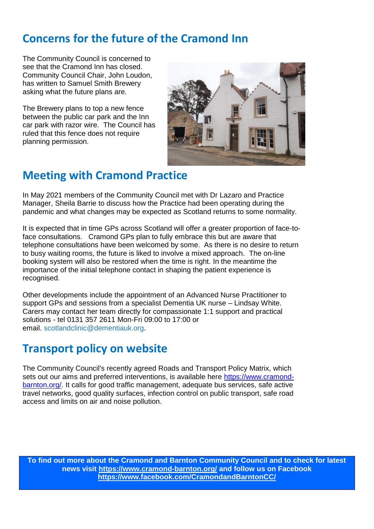## **Concerns for the future of the Cramond Inn**

The Community Council is concerned to see that the Cramond Inn has closed. Community Council Chair, John Loudon, has written to Samuel Smith Brewery asking what the future plans are.

The Brewery plans to top a new fence between the public car park and the Inn car park with razor wire. The Council has ruled that this fence does not require planning permission.



# **Meeting with Cramond Practice**

In May 2021 members of the Community Council met with Dr Lazaro and Practice Manager, Sheila Barrie to discuss how the Practice had been operating during the pandemic and what changes may be expected as Scotland returns to some normality.

It is expected that in time GPs across Scotland will offer a greater proportion of face-toface consultations. Cramond GPs plan to fully embrace this but are aware that telephone consultations have been welcomed by some. As there is no desire to return to busy waiting rooms, the future is liked to involve a mixed approach. The on-line booking system will also be restored when the time is right. In the meantime the importance of the initial telephone contact in shaping the patient experience is recognised.

Other developments include the appointment of an Advanced Nurse Practitioner to support GPs and sessions from a specialist Dementia UK nurse – Lindsay White. Carers may contact her team directly for compassionate 1:1 support and practical solutions - tel 0131 357 2611 Mon-Fri 09:00 to 17:00 or email. [scotlandclinic@dementiauk.org.](mailto:scotlandclinic@dementiauk.org)

## **Transport policy on website**

The Community Council's recently agreed Roads and Transport Policy Matrix, which sets out our aims and preferred interventions, is available here [https://www.cramond](https://www.cramond-barnton.org/?fbclid=IwAR0t5iYJ0dErPv7TyGTcB3Gx1eg944Usj15tZMXYbbEeq-SlSz5Zeej1qZs)[barnton.org/.](https://www.cramond-barnton.org/?fbclid=IwAR0t5iYJ0dErPv7TyGTcB3Gx1eg944Usj15tZMXYbbEeq-SlSz5Zeej1qZs) It calls for good traffic management, adequate bus services, safe active travel networks, good quality surfaces, infection control on public transport, safe road access and limits on air and noise pollution.